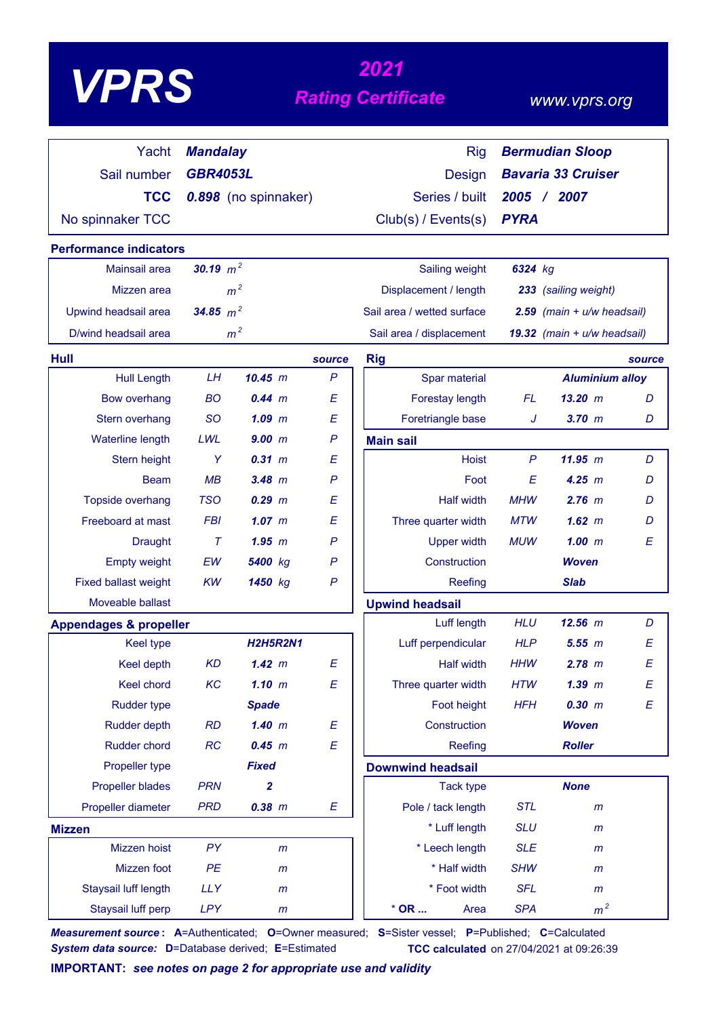|                                   |                 |                      |                  | 2021                       |                              |                                |        |
|-----------------------------------|-----------------|----------------------|------------------|----------------------------|------------------------------|--------------------------------|--------|
| <b>VPRS</b>                       |                 |                      |                  | <b>Rating Certificate</b>  |                              | www.vprs.org                   |        |
| Yacht                             | <b>Mandalay</b> |                      |                  |                            | <b>Rig</b>                   | <b>Bermudian Sloop</b>         |        |
| Sail number                       | <b>GBR4053L</b> |                      |                  | <b>Design</b>              |                              | <b>Bavaria 33 Cruiser</b>      |        |
| <b>TCC</b>                        |                 | 0.898 (no spinnaker) |                  | Series / built             |                              | 2005 / 2007                    |        |
| No spinnaker TCC                  |                 |                      |                  | Club(s) / Events(s)        | <b>PYRA</b>                  |                                |        |
| <b>Performance indicators</b>     |                 |                      |                  |                            |                              |                                |        |
| Mainsail area                     | 30.19 $m^2$     |                      |                  | Sailing weight             | 6324 kg                      |                                |        |
| Mizzen area                       |                 | m <sup>2</sup>       |                  | Displacement / length      |                              | 233 (sailing weight)           |        |
| Upwind headsail area              | 34.85 $m^2$     |                      |                  | Sail area / wetted surface |                              | $2.59$ (main + $u/w$ headsail) |        |
| D/wind headsail area              |                 | m <sup>2</sup>       |                  | Sail area / displacement   |                              | 19.32 (main $+ u/w$ headsail)  |        |
| Hull                              |                 |                      | source           | <b>Rig</b>                 |                              |                                | source |
| <b>Hull Length</b>                | <b>LH</b>       | 10.45 m              | $\mathsf{P}$     | Spar material              |                              | <b>Aluminium alloy</b>         |        |
| <b>Bow overhang</b>               | <b>BO</b>       | $0.44$ $m$           | E                | Forestay length            | <b>FL</b>                    | 13.20~m                        | D      |
| Stern overhang                    | <b>SO</b>       | $1.09$ $m$           | E                | Foretriangle base          | J                            | $3.70$ $m$                     | D      |
| Waterline length                  | LWL             | 9.00 m               | $\mathsf{P}$     | <b>Main sail</b>           |                              |                                |        |
| Stern height                      | Y               | 0.31 m               | Ε                |                            | $\mathsf{P}$<br><b>Hoist</b> | 11.95 m                        | D      |
| <b>Beam</b>                       | MB              | $3.48$ m             | $\mathsf{P}$     |                            | E<br>Foot                    | 4.25 m                         | D      |
| Topside overhang                  | <b>TSO</b>      | $0.29$ $m$           | E                | <b>Half width</b>          | <b>MHW</b>                   | $2.76$ m                       | D      |
| Freeboard at mast                 | <b>FBI</b>      | $1.07$ $m$           | E                | Three quarter width        | <b>MTW</b>                   | 1.62~m                         | D      |
| <b>Draught</b>                    | $\tau$          | 1.95~m               | P                | <b>Upper width</b>         | <b>MUW</b>                   | 1.00~m                         | E      |
| <b>Empty weight</b>               | EW              | 5400 kg              | P                | Construction               |                              | <b>Woven</b>                   |        |
| <b>Fixed ballast weight</b>       | <b>KW</b>       | 1450 kg              | $\mathsf{P}$     | Reefing                    |                              | <b>Slab</b>                    |        |
| Moveable ballast                  |                 |                      |                  | <b>Upwind headsail</b>     |                              |                                |        |
| <b>Appendages &amp; propeller</b> |                 |                      |                  | Luff length                | <b>HLU</b>                   | 12.56 m                        | D      |
| Keel type                         |                 | <b>H2H5R2N1</b>      |                  | Luff perpendicular         | <b>HLP</b>                   | 5.55 m                         | E      |
| <b>Keel depth</b>                 | <b>KD</b>       | 1.42 m               | $\boldsymbol{E}$ | <b>Half width</b>          | <b>HHW</b>                   | $2.78$ m                       | E      |
| Keel chord                        | KC              | $1.10$ m             | E                | Three quarter width        | <b>HTW</b>                   | $1.39$ $m$                     | E      |
| <b>Rudder type</b>                |                 | <b>Spade</b>         |                  | Foot height                | <b>HFH</b>                   | 0.30 m                         | E      |
| <b>Rudder depth</b>               | <b>RD</b>       | $1.40$ m             | E                | Construction               |                              | <b>Woven</b>                   |        |
| Rudder chord                      | RC              | 0.45 m               | E                | Reefing                    |                              | <b>Roller</b>                  |        |
| Propeller type                    |                 | <b>Fixed</b>         |                  | <b>Downwind headsail</b>   |                              |                                |        |
| <b>Propeller blades</b>           | <b>PRN</b>      | $\overline{2}$       |                  | <b>Tack type</b>           |                              | <b>None</b>                    |        |
| Propeller diameter                | <b>PRD</b>      | $0.38$ $m$           | Ε                | Pole / tack length         | <b>STL</b>                   | m                              |        |
| <b>Mizzen</b>                     |                 |                      |                  | * Luff length              | <b>SLU</b>                   | $\mathsf{m}$                   |        |
| Mizzen hoist                      | PY              | m                    |                  | * Leech length             | <b>SLE</b>                   | $\mathsf{m}$                   |        |
| Mizzen foot                       | PE              | $\mathsf{m}$         |                  | * Half width               | <b>SHW</b>                   | m                              |        |
| Staysail luff length              | <b>LLY</b>      | $\mathsf{m}$         |                  | * Foot width               | <b>SFL</b>                   | m                              |        |
| Staysail luff perp                | LPY             | $\mathsf{m}$         |                  | $*$ OR $\ldots$            | <b>SPA</b><br>Area           | m <sup>2</sup>                 |        |

*Measurement source* **: A**=Authenticated; **O**=Owner measured; **S**=Sister vessel; **P**=Published; **C**=Calculated **System data source:** D=Database derived; E=Estimated **TCC calculated** on 27/04/2021 at 09:26:39

**IMPORTANT:** *see notes on page 2 for appropriate use and validity*